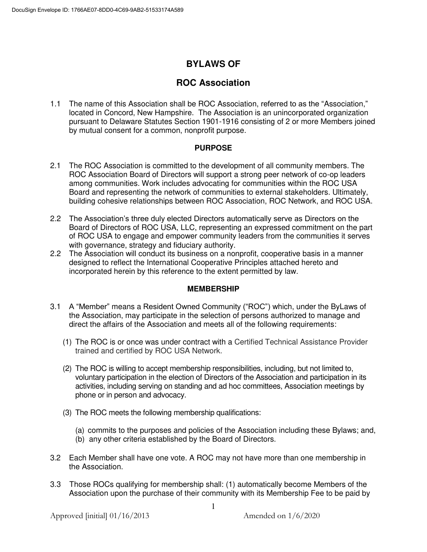# **BYLAWS OF**

## **ROC Association**

1.1 The name of this Association shall be ROC Association, referred to as the "Association," located in Concord, New Hampshire. The Association is an unincorporated organization pursuant to Delaware Statutes Section 1901-1916 consisting of 2 or more Members joined by mutual consent for a common, nonprofit purpose.

## **PURPOSE**

- 2.1 The ROC Association is committed to the development of all community members. The ROC Association Board of Directors will support a strong peer network of co-op leaders among communities. Work includes advocating for communities within the ROC USA Board and representing the network of communities to external stakeholders. Ultimately, building cohesive relationships between ROC Association, ROC Network, and ROC USA.
- 2.2 The Association's three duly elected Directors automatically serve as Directors on the Board of Directors of ROC USA, LLC, representing an expressed commitment on the part of ROC USA to engage and empower community leaders from the communities it serves with governance, strategy and fiduciary authority.
- 2.2 The Association will conduct its business on a nonprofit, cooperative basis in a manner designed to reflect the International Cooperative Principles attached hereto and incorporated herein by this reference to the extent permitted by law.

## **MEMBERSHIP**

- 3.1 A "Member" means a Resident Owned Community ("ROC") which, under the ByLaws of the Association, may participate in the selection of persons authorized to manage and direct the affairs of the Association and meets all of the following requirements:
	- (1) The ROC is or once was under contract with a Certified Technical Assistance Provider trained and certified by ROC USA Network.
	- (2) The ROC is willing to accept membership responsibilities, including, but not limited to, voluntary participation in the election of Directors of the Association and participation in its activities, including serving on standing and ad hoc committees, Association meetings by phone or in person and advocacy.
	- (3) The ROC meets the following membership qualifications:
		- (a) commits to the purposes and policies of the Association including these Bylaws; and,
		- (b) any other criteria established by the Board of Directors.
- 3.2 Each Member shall have one vote. A ROC may not have more than one membership in the Association.
- 3.3 Those ROCs qualifying for membership shall: (1) automatically become Members of the Association upon the purchase of their community with its Membership Fee to be paid by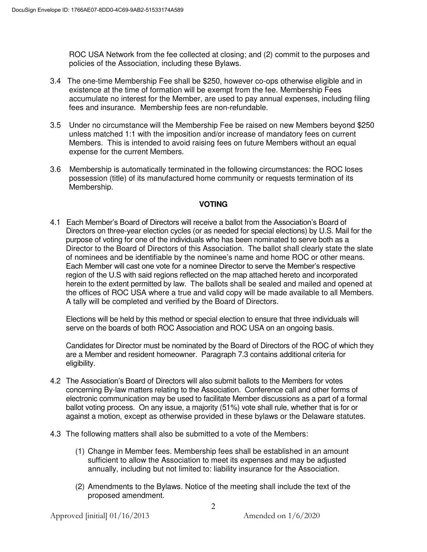ROC USA Network from the fee collected at closing; and (2) commit to the purposes and policies of the Association, including these Bylaws.

- 3.4 The one-time Membership Fee shall be \$250, however co-ops otherwise eligible and in existence at the time of formation will be exempt from the fee. Membership Fees accumulate no interest for the Member, are used to pay annual expenses, including filing fees and insurance. Membership fees are non-refundable.
- 3.5 Under no circumstance will the Membership Fee be raised on new Members beyond \$250 unless matched 1:1 with the imposition and/or increase of mandatory fees on current Members. This is intended to avoid raising fees on future Members without an equal expense for the current Members.
- 3.6 Membership is automatically terminated in the following circumstances: the ROC loses possession (title) of its manufactured home community or requests termination of its Membership.

## **VOTING**

4.1 Each Member's Board of Directors will receive a ballot from the Association's Board of Directors on three-year election cycles (or as needed for special elections) by U.S. Mail for the purpose of voting for one of the individuals who has been nominated to serve both as a Director to the Board of Directors of this Association. The ballot shall clearly state the slate of nominees and be identifiable by the nominee's name and home ROC or other means. Each Member will cast one vote for a nominee Director to serve the Member's respective region of the U.S with said regions reflected on the map attached hereto and incorporated herein to the extent permitted by law. The ballots shall be sealed and mailed and opened at the offices of ROC USA where a true and valid copy will be made available to all Members. A tally will be completed and verified by the Board of Directors.

 Elections will be held by this method or special election to ensure that three individuals will serve on the boards of both ROC Association and ROC USA on an ongoing basis.

 Candidates for Director must be nominated by the Board of Directors of the ROC of which they are a Member and resident homeowner. Paragraph 7.3 contains additional criteria for eligibility.

- 4.2 The Association's Board of Directors will also submit ballots to the Members for votes concerning By-law matters relating to the Association. Conference call and other forms of electronic communication may be used to facilitate Member discussions as a part of a formal ballot voting process. On any issue, a majority (51%) vote shall rule, whether that is for or against a motion, except as otherwise provided in these bylaws or the Delaware statutes.
- 4.3 The following matters shall also be submitted to a vote of the Members:
	- (1) Change in Member fees. Membership fees shall be established in an amount sufficient to allow the Association to meet its expenses and may be adjusted annually, including but not limited to: liability insurance for the Association.
	- (2) Amendments to the Bylaws. Notice of the meeting shall include the text of the proposed amendment.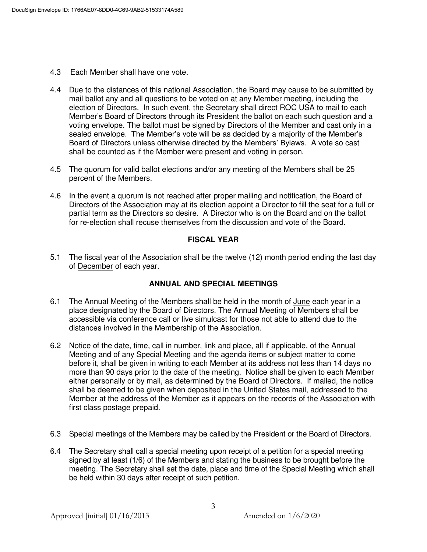- 4.3 Each Member shall have one vote.
- 4.4 Due to the distances of this national Association, the Board may cause to be submitted by mail ballot any and all questions to be voted on at any Member meeting, including the election of Directors. In such event, the Secretary shall direct ROC USA to mail to each Member's Board of Directors through its President the ballot on each such question and a voting envelope. The ballot must be signed by Directors of the Member and cast only in a sealed envelope. The Member's vote will be as decided by a majority of the Member's Board of Directors unless otherwise directed by the Members' Bylaws. A vote so cast shall be counted as if the Member were present and voting in person.
- 4.5 The quorum for valid ballot elections and/or any meeting of the Members shall be 25 percent of the Members.
- 4.6 In the event a quorum is not reached after proper mailing and notification, the Board of Directors of the Association may at its election appoint a Director to fill the seat for a full or partial term as the Directors so desire. A Director who is on the Board and on the ballot for re-election shall recuse themselves from the discussion and vote of the Board.

## **FISCAL YEAR**

5.1 The fiscal year of the Association shall be the twelve (12) month period ending the last day of December of each year.

## **ANNUAL AND SPECIAL MEETINGS**

- 6.1 The Annual Meeting of the Members shall be held in the month of June each year in a place designated by the Board of Directors. The Annual Meeting of Members shall be accessible via conference call or live simulcast for those not able to attend due to the distances involved in the Membership of the Association.
- 6.2 Notice of the date, time, call in number, link and place, all if applicable, of the Annual Meeting and of any Special Meeting and the agenda items or subject matter to come before it, shall be given in writing to each Member at its address not less than 14 days no more than 90 days prior to the date of the meeting. Notice shall be given to each Member either personally or by mail, as determined by the Board of Directors. If mailed, the notice shall be deemed to be given when deposited in the United States mail, addressed to the Member at the address of the Member as it appears on the records of the Association with first class postage prepaid.
- 6.3 Special meetings of the Members may be called by the President or the Board of Directors.
- 6.4 The Secretary shall call a special meeting upon receipt of a petition for a special meeting signed by at least (1/6) of the Members and stating the business to be brought before the meeting. The Secretary shall set the date, place and time of the Special Meeting which shall be held within 30 days after receipt of such petition.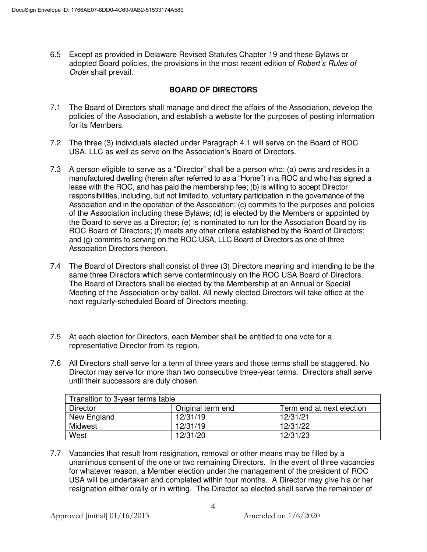6.5 Except as provided in Delaware Revised Statutes Chapter 19 and these Bylaws or adopted Board policies, the provisions in the most recent edition of *Robert's Rules of Order* shall prevail.

## **BOARD OF DIRECTORS**

- 7.1 The Board of Directors shall manage and direct the affairs of the Association, develop the policies of the Association, and establish a website for the purposes of posting information for its Members.
- 7.2 The three (3) individuals elected under Paragraph 4.1 will serve on the Board of ROC USA, LLC as well as serve on the Association's Board of Directors.
- 7.3 A person eligible to serve as a "Director" shall be a person who: (a) owns and resides in a manufactured dwelling (herein after referred to as a "Home") in a ROC and who has signed a lease with the ROC, and has paid the membership fee; (b) is willing to accept Director responsibilities, including, but not limited to, voluntary participation in the governance of the Association and in the operation of the Association; (c) commits to the purposes and policies of the Association including these Bylaws; (d) is elected by the Members or appointed by the Board to serve as a Director; (e) is nominated to run for the Association Board by its ROC Board of Directors; (f) meets any other criteria established by the Board of Directors; and (g) commits to serving on the ROC USA, LLC Board of Directors as one of three Association Directors thereon.
- 7.4 The Board of Directors shall consist of three (3) Directors meaning and intending to be the same three Directors which serve conterminously on the ROC USA Board of Directors. The Board of Directors shall be elected by the Membership at an Annual or Special Meeting of the Association or by ballot. All newly elected Directors will take office at the next regularly-scheduled Board of Directors meeting.
- 7.5 At each election for Directors, each Member shall be entitled to one vote for a representative Director from its region.
- 7.6 All Directors shall serve for a term of three years and those terms shall be staggered. No Director may serve for more than two consecutive three-year terms. Directors shall serve until their successors are duly chosen.

| Transition to 3-year terms table |                   |                           |
|----------------------------------|-------------------|---------------------------|
| Director                         | Original term end | Term end at next election |
| New England                      | 12/31/19          | 12/31/21                  |
| Midwest                          | 12/31/19          | 12/31/22                  |
| West                             | 12/31/20          | 12/31/23                  |

7.7 Vacancies that result from resignation, removal or other means may be filled by a unanimous consent of the one or two remaining Directors. In the event of three vacancies for whatever reason, a Member election under the management of the president of ROC USA will be undertaken and completed within four months. A Director may give his or her resignation either orally or in writing. The Director so elected shall serve the remainder of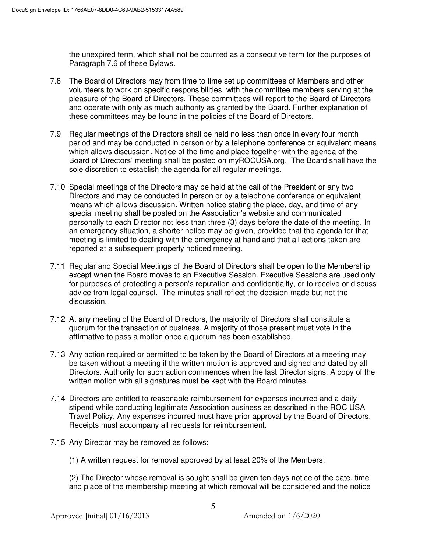the unexpired term, which shall not be counted as a consecutive term for the purposes of Paragraph 7.6 of these Bylaws.

- 7.8 The Board of Directors may from time to time set up committees of Members and other volunteers to work on specific responsibilities, with the committee members serving at the pleasure of the Board of Directors. These committees will report to the Board of Directors and operate with only as much authority as granted by the Board. Further explanation of these committees may be found in the policies of the Board of Directors.
- 7.9 Regular meetings of the Directors shall be held no less than once in every four month period and may be conducted in person or by a telephone conference or equivalent means which allows discussion*.* Notice of the time and place together with the agenda of the Board of Directors' meeting shall be posted on myROCUSA.org. The Board shall have the sole discretion to establish the agenda for all regular meetings.
- 7.10 Special meetings of the Directors may be held at the call of the President or any two Directors and may be conducted in person or by a telephone conference or equivalent means which allows discussion. Written notice stating the place, day, and time of any special meeting shall be posted on the Association's website and communicated personally to each Director not less than three (3) days before the date of the meeting. In an emergency situation, a shorter notice may be given, provided that the agenda for that meeting is limited to dealing with the emergency at hand and that all actions taken are reported at a subsequent properly noticed meeting.
- 7.11 Regular and Special Meetings of the Board of Directors shall be open to the Membership except when the Board moves to an Executive Session. Executive Sessions are used only for purposes of protecting a person's reputation and confidentiality, or to receive or discuss advice from legal counsel. The minutes shall reflect the decision made but not the discussion.
- 7.12 At any meeting of the Board of Directors, the majority of Directors shall constitute a quorum for the transaction of business. A majority of those present must vote in the affirmative to pass a motion once a quorum has been established.
- 7.13 Any action required or permitted to be taken by the Board of Directors at a meeting may be taken without a meeting if the written motion is approved and signed and dated by all Directors. Authority for such action commences when the last Director signs. A copy of the written motion with all signatures must be kept with the Board minutes.
- 7.14 Directors are entitled to reasonable reimbursement for expenses incurred and a daily stipend while conducting legitimate Association business as described in the ROC USA Travel Policy. Any expenses incurred must have prior approval by the Board of Directors. Receipts must accompany all requests for reimbursement.
- 7.15 Any Director may be removed as follows:
	- (1) A written request for removal approved by at least 20% of the Members;

 (2) The Director whose removal is sought shall be given ten days notice of the date, time and place of the membership meeting at which removal will be considered and the notice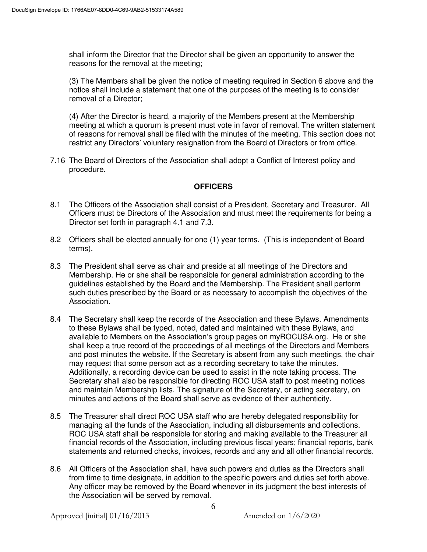shall inform the Director that the Director shall be given an opportunity to answer the reasons for the removal at the meeting;

 (3) The Members shall be given the notice of meeting required in Section 6 above and the notice shall include a statement that one of the purposes of the meeting is to consider removal of a Director;

 (4) After the Director is heard, a majority of the Members present at the Membership meeting at which a quorum is present must vote in favor of removal. The written statement of reasons for removal shall be filed with the minutes of the meeting. This section does not restrict any Directors' voluntary resignation from the Board of Directors or from office.

7.16 The Board of Directors of the Association shall adopt a Conflict of Interest policy and procedure.

## **OFFICERS**

- 8.1 The Officers of the Association shall consist of a President, Secretary and Treasurer. All Officers must be Directors of the Association and must meet the requirements for being a Director set forth in paragraph 4.1 and 7.3.
- 8.2 Officers shall be elected annually for one (1) year terms. (This is independent of Board terms).
- 8.3 The President shall serve as chair and preside at all meetings of the Directors and Membership. He or she shall be responsible for general administration according to the guidelines established by the Board and the Membership. The President shall perform such duties prescribed by the Board or as necessary to accomplish the objectives of the Association.
- 8.4 The Secretary shall keep the records of the Association and these Bylaws. Amendments to these Bylaws shall be typed, noted, dated and maintained with these Bylaws, and available to Members on the Association's group pages on myROCUSA.org. He or she shall keep a true record of the proceedings of all meetings of the Directors and Members and post minutes the website. If the Secretary is absent from any such meetings, the chair may request that some person act as a recording secretary to take the minutes. Additionally, a recording device can be used to assist in the note taking process. The Secretary shall also be responsible for directing ROC USA staff to post meeting notices and maintain Membership lists. The signature of the Secretary, or acting secretary, on minutes and actions of the Board shall serve as evidence of their authenticity.
- 8.5 The Treasurer shall direct ROC USA staff who are hereby delegated responsibility for managing all the funds of the Association, including all disbursements and collections. ROC USA staff shall be responsible for storing and making available to the Treasurer all financial records of the Association, including previous fiscal years; financial reports, bank statements and returned checks, invoices, records and any and all other financial records.
- 8.6 All Officers of the Association shall, have such powers and duties as the Directors shall from time to time designate, in addition to the specific powers and duties set forth above. Any officer may be removed by the Board whenever in its judgment the best interests of the Association will be served by removal.

Approved [initial] 01/16/2013 Amended on 1/6/2020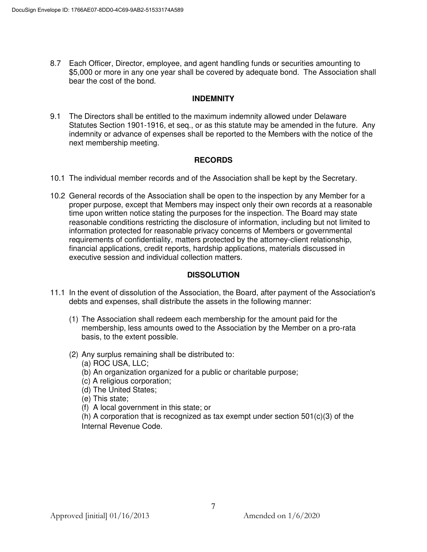8.7 Each Officer, Director, employee, and agent handling funds or securities amounting to \$5,000 or more in any one year shall be covered by adequate bond. The Association shall bear the cost of the bond.

#### **INDEMNITY**

9.1 The Directors shall be entitled to the maximum indemnity allowed under Delaware Statutes Section 1901-1916, et seq., or as this statute may be amended in the future. Any indemnity or advance of expenses shall be reported to the Members with the notice of the next membership meeting.

## **RECORDS**

- 10.1 The individual member records and of the Association shall be kept by the Secretary.
- 10.2 General records of the Association shall be open to the inspection by any Member for a proper purpose, except that Members may inspect only their own records at a reasonable time upon written notice stating the purposes for the inspection. The Board may state reasonable conditions restricting the disclosure of information, including but not limited to information protected for reasonable privacy concerns of Members or governmental requirements of confidentiality, matters protected by the attorney-client relationship, financial applications, credit reports, hardship applications, materials discussed in executive session and individual collection matters.

## **DISSOLUTION**

- 11.1 In the event of dissolution of the Association, the Board, after payment of the Association's debts and expenses, shall distribute the assets in the following manner:
	- (1) The Association shall redeem each membership for the amount paid for the membership, less amounts owed to the Association by the Member on a pro-rata basis, to the extent possible.
	- (2) Any surplus remaining shall be distributed to: (a) ROC USA, LLC;
		- (b) An organization organized for a public or charitable purpose;
		- (c) A religious corporation;
		- (d) The United States;
		- (e) This state;
		- (f) A local government in this state; or

(h) A corporation that is recognized as tax exempt under section  $501(c)(3)$  of the Internal Revenue Code.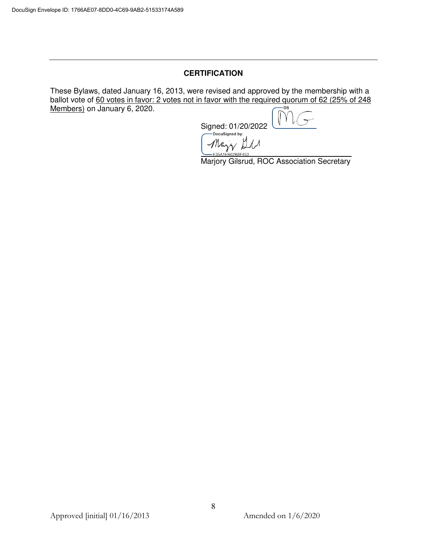#### **CERTIFICATION**

These Bylaws, dated January 16, 2013, were revised and approved by the membership with a ballot vote of  $\underline{60}$  votes in favor: 2 votes not in favor with the required quorum of 62 (25% of 248<br>Members) on January 6, 2020 Members) on January 6, 2020.

> Signed: 01/20/2022 Mary All  $\overline{\phantom{a}}$

Marjory Gilsrud, ROC Association Secretary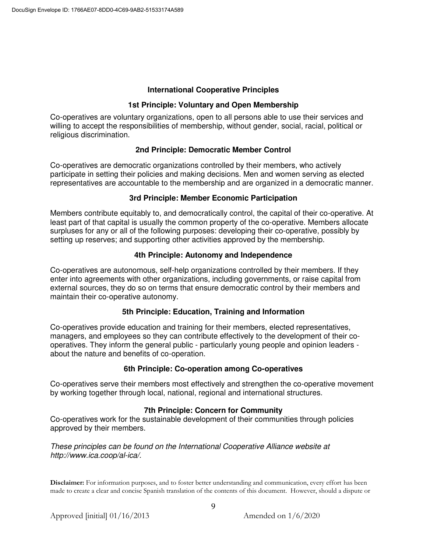#### **International Cooperative Principles**

#### **1st Principle: Voluntary and Open Membership**

Co-operatives are voluntary organizations, open to all persons able to use their services and willing to accept the responsibilities of membership, without gender, social, racial, political or religious discrimination.

## **2nd Principle: Democratic Member Control**

Co-operatives are democratic organizations controlled by their members, who actively participate in setting their policies and making decisions. Men and women serving as elected representatives are accountable to the membership and are organized in a democratic manner.

#### **3rd Principle: Member Economic Participation**

Members contribute equitably to, and democratically control, the capital of their co-operative. At least part of that capital is usually the common property of the co-operative. Members allocate surpluses for any or all of the following purposes: developing their co-operative, possibly by setting up reserves; and supporting other activities approved by the membership.

#### **4th Principle: Autonomy and Independence**

Co-operatives are autonomous, self-help organizations controlled by their members. If they enter into agreements with other organizations, including governments, or raise capital from external sources, they do so on terms that ensure democratic control by their members and maintain their co-operative autonomy.

#### **5th Principle: Education, Training and Information**

Co-operatives provide education and training for their members, elected representatives, managers, and employees so they can contribute effectively to the development of their cooperatives. They inform the general public - particularly young people and opinion leaders about the nature and benefits of co-operation.

#### **6th Principle: Co-operation among Co-operatives**

Co-operatives serve their members most effectively and strengthen the co-operative movement by working together through local, national, regional and international structures.

#### **7th Principle: Concern for Community**

Co-operatives work for the sustainable development of their communities through policies approved by their members.

*These principles can be found on the International Cooperative Alliance website at http://www.ica.coop/al-ica/.* 

**Disclaimer:** For information purposes, and to foster better understanding and communication, every effort has been made to create a clear and concise Spanish translation of the contents of this document. However, should a dispute or